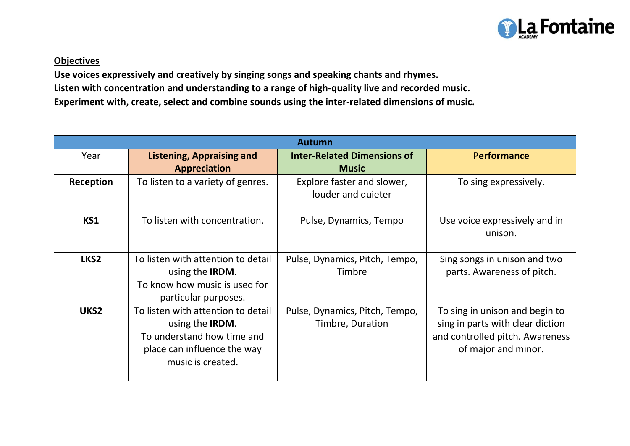

## **Objectives**

**Use voices expressively and creatively by singing songs and speaking chants and rhymes. Listen with concentration and understanding to a range of high-quality live and recorded music.**

**Experiment with, create, select and combine sounds using the inter-related dimensions of music.**

| <b>Autumn</b>    |                                                                                                                                                 |                                                    |                                                                                                                              |  |
|------------------|-------------------------------------------------------------------------------------------------------------------------------------------------|----------------------------------------------------|------------------------------------------------------------------------------------------------------------------------------|--|
| Year             | <b>Listening, Appraising and</b><br><b>Appreciation</b>                                                                                         | <b>Inter-Related Dimensions of</b><br><b>Music</b> | <b>Performance</b>                                                                                                           |  |
| Reception        | To listen to a variety of genres.                                                                                                               | Explore faster and slower,<br>louder and quieter   | To sing expressively.                                                                                                        |  |
| KS1              | To listen with concentration.                                                                                                                   | Pulse, Dynamics, Tempo                             | Use voice expressively and in<br>unison.                                                                                     |  |
| LKS <sub>2</sub> | To listen with attention to detail<br>using the <b>IRDM</b> .<br>To know how music is used for<br>particular purposes.                          | Pulse, Dynamics, Pitch, Tempo,<br>Timbre           | Sing songs in unison and two<br>parts. Awareness of pitch.                                                                   |  |
| UKS2             | To listen with attention to detail<br>using the <b>IRDM</b> .<br>To understand how time and<br>place can influence the way<br>music is created. | Pulse, Dynamics, Pitch, Tempo,<br>Timbre, Duration | To sing in unison and begin to<br>sing in parts with clear diction<br>and controlled pitch. Awareness<br>of major and minor. |  |